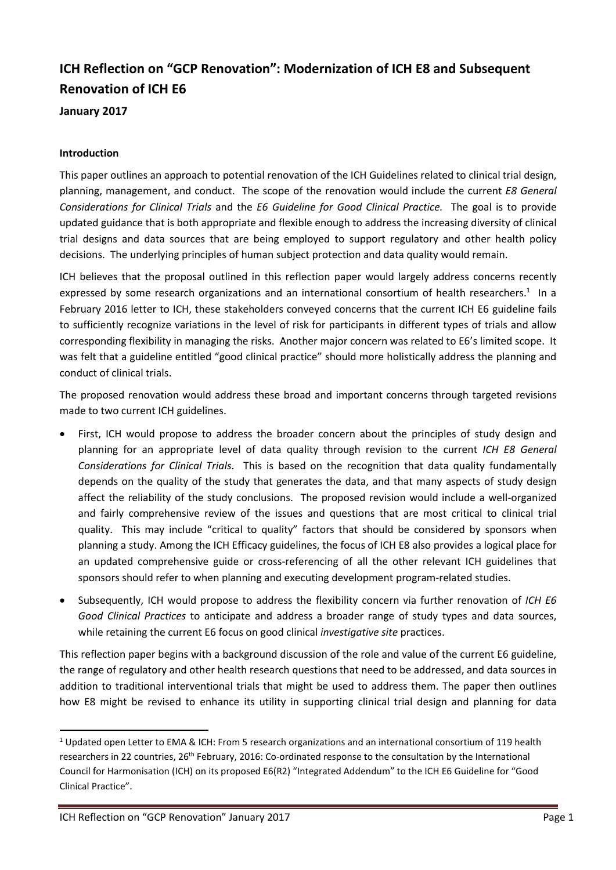# **ICH Reflection on "GCP Renovation": Modernization of ICH E8 and Subsequent Renovation of ICH E6**

**January 2017**

### **Introduction**

This paper outlines an approach to potential renovation of the ICH Guidelines related to clinical trial design, planning, management, and conduct. The scope of the renovation would include the current *E8 General Considerations for Clinical Trials* and the *E6 Guideline for Good Clinical Practice.* The goal is to provide updated guidance that is both appropriate and flexible enough to address the increasing diversity of clinical trial designs and data sources that are being employed to support regulatory and other health policy decisions. The underlying principles of human subject protection and data quality would remain.

ICH believes that the proposal outlined in this reflection paper would largely address concerns recently expressed by some research organizations and an international consortium of health researchers.<sup>1</sup> In a February 2016 letter to ICH, these stakeholders conveyed concerns that the current ICH E6 guideline fails to sufficiently recognize variations in the level of risk for participants in different types of trials and allow corresponding flexibility in managing the risks. Another major concern was related to E6's limited scope. It was felt that a guideline entitled "good clinical practice" should more holistically address the planning and conduct of clinical trials.

The proposed renovation would address these broad and important concerns through targeted revisions made to two current ICH guidelines.

- First, ICH would propose to address the broader concern about the principles of study design and planning for an appropriate level of data quality through revision to the current *ICH E8 General Considerations for Clinical Trials*. This is based on the recognition that data quality fundamentally depends on the quality of the study that generates the data, and that many aspects of study design affect the reliability of the study conclusions. The proposed revision would include a well-organized and fairly comprehensive review of the issues and questions that are most critical to clinical trial quality. This may include "critical to quality" factors that should be considered by sponsors when planning a study. Among the ICH Efficacy guidelines, the focus of ICH E8 also provides a logical place for an updated comprehensive guide or cross-referencing of all the other relevant ICH guidelines that sponsors should refer to when planning and executing development program-related studies.
- Subsequently, ICH would propose to address the flexibility concern via further renovation of *ICH E6 Good Clinical Practices* to anticipate and address a broader range of study types and data sources, while retaining the current E6 focus on good clinical *investigative site* practices.

This reflection paper begins with a background discussion of the role and value of the current E6 guideline, the range of regulatory and other health research questions that need to be addressed, and data sources in addition to traditional interventional trials that might be used to address them. The paper then outlines how E8 might be revised to enhance its utility in supporting clinical trial design and planning for data

 <sup>1</sup> Updated open Letter to EMA & ICH: From 5 research organizations and an international consortium of 119 health researchers in 22 countries, 26<sup>th</sup> February, 2016: Co-ordinated response to the consultation by the International Council for Harmonisation (ICH) on its proposed E6(R2) "Integrated Addendum" to the ICH E6 Guideline for "Good Clinical Practice".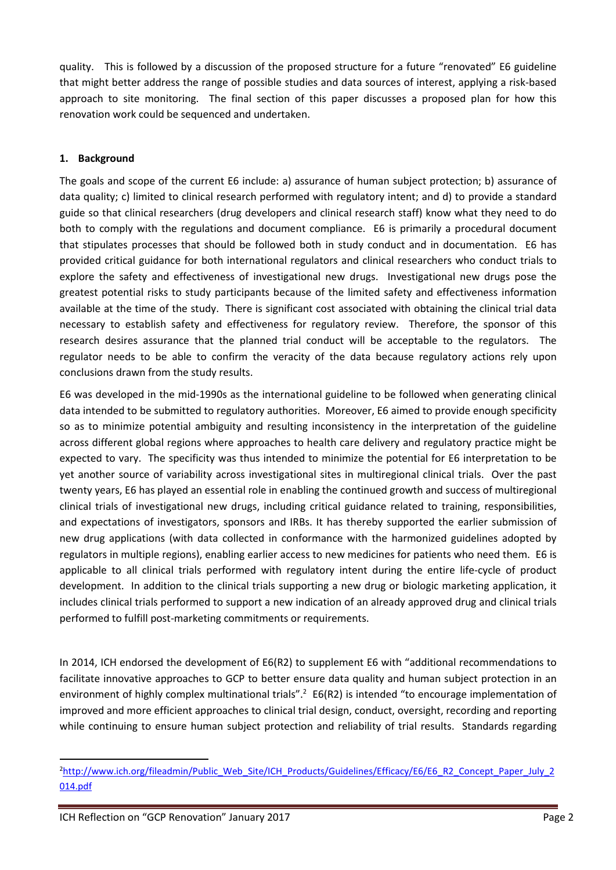quality. This is followed by a discussion of the proposed structure for a future "renovated" E6 guideline that might better address the range of possible studies and data sources of interest, applying a risk-based approach to site monitoring. The final section of this paper discusses a proposed plan for how this renovation work could be sequenced and undertaken.

# **1. Background**

The goals and scope of the current E6 include: a) assurance of human subject protection; b) assurance of data quality; c) limited to clinical research performed with regulatory intent; and d) to provide a standard guide so that clinical researchers (drug developers and clinical research staff) know what they need to do both to comply with the regulations and document compliance. E6 is primarily a procedural document that stipulates processes that should be followed both in study conduct and in documentation. E6 has provided critical guidance for both international regulators and clinical researchers who conduct trials to explore the safety and effectiveness of investigational new drugs. Investigational new drugs pose the greatest potential risks to study participants because of the limited safety and effectiveness information available at the time of the study. There is significant cost associated with obtaining the clinical trial data necessary to establish safety and effectiveness for regulatory review. Therefore, the sponsor of this research desires assurance that the planned trial conduct will be acceptable to the regulators. The regulator needs to be able to confirm the veracity of the data because regulatory actions rely upon conclusions drawn from the study results.

E6 was developed in the mid-1990s as the international guideline to be followed when generating clinical data intended to be submitted to regulatory authorities. Moreover, E6 aimed to provide enough specificity so as to minimize potential ambiguity and resulting inconsistency in the interpretation of the guideline across different global regions where approaches to health care delivery and regulatory practice might be expected to vary. The specificity was thus intended to minimize the potential for E6 interpretation to be yet another source of variability across investigational sites in multiregional clinical trials. Over the past twenty years, E6 has played an essential role in enabling the continued growth and success of multiregional clinical trials of investigational new drugs, including critical guidance related to training, responsibilities, and expectations of investigators, sponsors and IRBs. It has thereby supported the earlier submission of new drug applications (with data collected in conformance with the harmonized guidelines adopted by regulators in multiple regions), enabling earlier access to new medicines for patients who need them. E6 is applicable to all clinical trials performed with regulatory intent during the entire life-cycle of product development. In addition to the clinical trials supporting a new drug or biologic marketing application, it includes clinical trials performed to support a new indication of an already approved drug and clinical trials performed to fulfill post-marketing commitments or requirements.

In 2014, ICH endorsed the development of E6(R2) to supplement E6 with "additional recommendations to facilitate innovative approaches to GCP to better ensure data quality and human subject protection in an environment of highly complex multinational trials".<sup>2</sup> E6(R2) is intended "to encourage implementation of improved and more efficient approaches to clinical trial design, conduct, oversight, recording and reporting while continuing to ensure human subject protection and reliability of trial results. Standards regarding

 $\overline{2}$ <sup>2</sup>http://www.ich.org/fileadmin/Public\_Web\_Site/ICH\_Products/Guidelines/Efficacy/E6/E6\_R2\_Concept\_Paper\_July\_2 014.pdf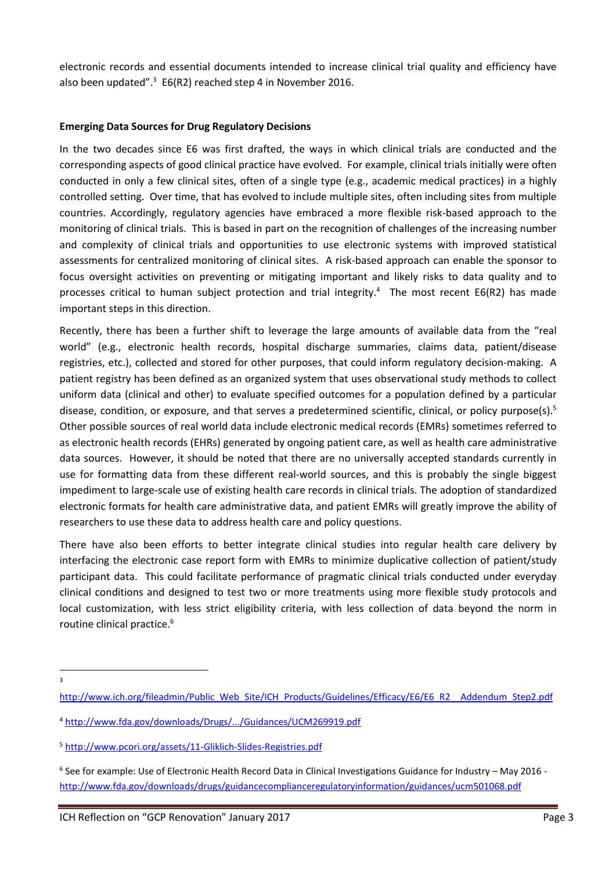electronic records and essential documents intended to increase clinical trial quality and efficiency have also been updated".<sup>3</sup> E6(R2) reached step 4 in November 2016.

#### **Emerging Data Sources for Drug Regulatory Decisions**

In the two decades since E6 was first drafted, the ways in which clinical trials are conducted and the corresponding aspects of good clinical practice have evolved. For example, clinical trials initially were often conducted in only a few clinical sites, often of a single type (e.g., academic medical practices) in a highly controlled setting. Over time, that has evolved to include multiple sites, often including sites from multiple countries. Accordingly, regulatory agencies have embraced a more flexible risk-based approach to the monitoring of clinical trials. This is based in part on the recognition of challenges of the increasing number and complexity of clinical trials and opportunities to use electronic systems with improved statistical assessments for centralized monitoring of clinical sites. A risk-based approach can enable the sponsor to focus oversight activities on preventing or mitigating important and likely risks to data quality and to processes critical to human subject protection and trial integrity.<sup>4</sup> The most recent E6(R2) has made important steps in this direction.

Recently, there has been a further shift to leverage the large amounts of available data from the "real world" (e.g., electronic health records, hospital discharge summaries, claims data, patient/disease registries, etc.), collected and stored for other purposes, that could inform regulatory decision-making. A patient registry has been defined as an organized system that uses observational study methods to collect uniform data (clinical and other) to evaluate specified outcomes for a population defined by a particular disease, condition, or exposure, and that serves a predetermined scientific, clinical, or policy purpose(s).<sup>5</sup> Other possible sources of real world data include electronic medical records (EMRs) sometimes referred to as electronic health records (EHRs) generated by ongoing patient care, as well as health care administrative data sources. However, it should be noted that there are no universally accepted standards currently in use for formatting data from these different real-world sources, and this is probably the single biggest impediment to large-scale use of existing health care records in clinical trials. The adoption of standardized electronic formats for health care administrative data, and patient EMRs will greatly improve the ability of researchers to use these data to address health care and policy questions.

There have also been efforts to better integrate clinical studies into regular health care delivery by interfacing the electronic case report form with EMRs to minimize duplicative collection of patient/study participant data. This could facilitate performance of pragmatic clinical trials conducted under everyday clinical conditions and designed to test two or more treatments using more flexible study protocols and local customization, with less strict eligibility criteria, with less collection of data beyond the norm in routine clinical practice.<sup>6</sup>

 $\frac{1}{3}$  $\overline{3}$ 

http://www.ich.org/fileadmin/Public\_Web\_Site/ICH\_Products/Guidelines/Efficacy/E6/E6\_R2\_\_Addendum\_Step2.pdf

<sup>4</sup> http://www.fda.gov/downloads/Drugs/.../Guidances/UCM269919.pdf

<sup>5</sup> http://www.pcori.org/assets/11-Gliklich-Slides-Registries.pdf

 $6$  See for example: Use of Electronic Health Record Data in Clinical Investigations Guidance for Industry – May 2016 http://www.fda.gov/downloads/drugs/guidancecomplianceregulatoryinformation/guidances/ucm501068.pdf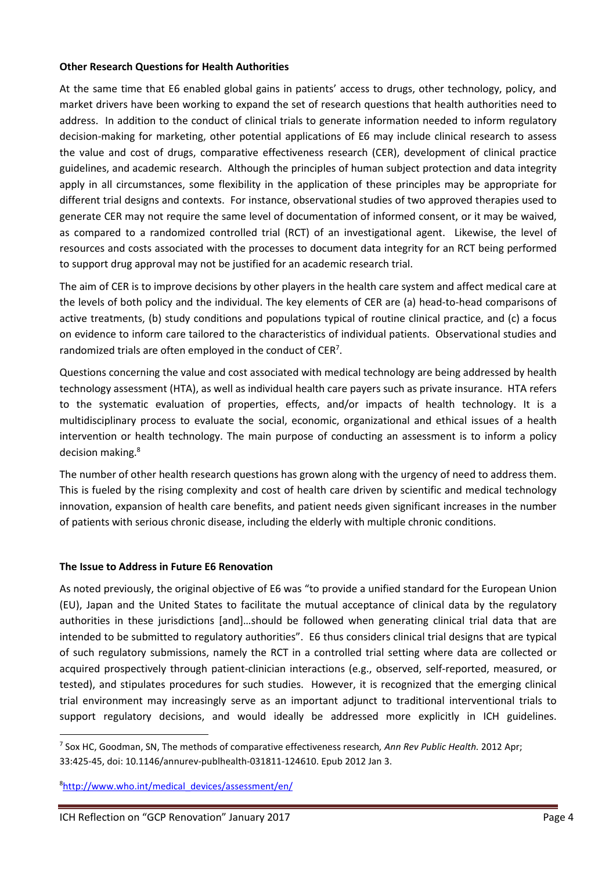#### **Other Research Questions for Health Authorities**

At the same time that E6 enabled global gains in patients' access to drugs, other technology, policy, and market drivers have been working to expand the set of research questions that health authorities need to address. In addition to the conduct of clinical trials to generate information needed to inform regulatory decision-making for marketing, other potential applications of E6 may include clinical research to assess the value and cost of drugs, comparative effectiveness research (CER), development of clinical practice guidelines, and academic research. Although the principles of human subject protection and data integrity apply in all circumstances, some flexibility in the application of these principles may be appropriate for different trial designs and contexts. For instance, observational studies of two approved therapies used to generate CER may not require the same level of documentation of informed consent, or it may be waived, as compared to a randomized controlled trial (RCT) of an investigational agent. Likewise, the level of resources and costs associated with the processes to document data integrity for an RCT being performed to support drug approval may not be justified for an academic research trial.

The aim of CER is to improve decisions by other players in the health care system and affect medical care at the levels of both policy and the individual. The key elements of CER are (a) head-to-head comparisons of active treatments, (b) study conditions and populations typical of routine clinical practice, and (c) a focus on evidence to inform care tailored to the characteristics of individual patients. Observational studies and randomized trials are often employed in the conduct of CER<sup>7</sup>.

Questions concerning the value and cost associated with medical technology are being addressed by health technology assessment (HTA), as well as individual health care payers such as private insurance. HTA refers to the systematic evaluation of properties, effects, and/or impacts of health technology. It is a multidisciplinary process to evaluate the social, economic, organizational and ethical issues of a health intervention or health technology. The main purpose of conducting an assessment is to inform a policy decision making.<sup>8</sup>

The number of other health research questions has grown along with the urgency of need to address them. This is fueled by the rising complexity and cost of health care driven by scientific and medical technology innovation, expansion of health care benefits, and patient needs given significant increases in the number of patients with serious chronic disease, including the elderly with multiple chronic conditions.

## **The Issue to Address in Future E6 Renovation**

As noted previously, the original objective of E6 was "to provide a unified standard for the European Union (EU), Japan and the United States to facilitate the mutual acceptance of clinical data by the regulatory authorities in these jurisdictions [and]…should be followed when generating clinical trial data that are intended to be submitted to regulatory authorities". E6 thus considers clinical trial designs that are typical of such regulatory submissions, namely the RCT in a controlled trial setting where data are collected or acquired prospectively through patient-clinician interactions (e.g., observed, self-reported, measured, or tested), and stipulates procedures for such studies. However, it is recognized that the emerging clinical trial environment may increasingly serve as an important adjunct to traditional interventional trials to support regulatory decisions, and would ideally be addressed more explicitly in ICH guidelines.

8 http://www.who.int/medical\_devices/assessment/en/

 <sup>7</sup> Sox HC, Goodman, SN, The methods of comparative effectiveness research*, Ann Rev Public Health.* 2012 Apr; 33:425-45, doi: 10.1146/annurev-publhealth-031811-124610. Epub 2012 Jan 3.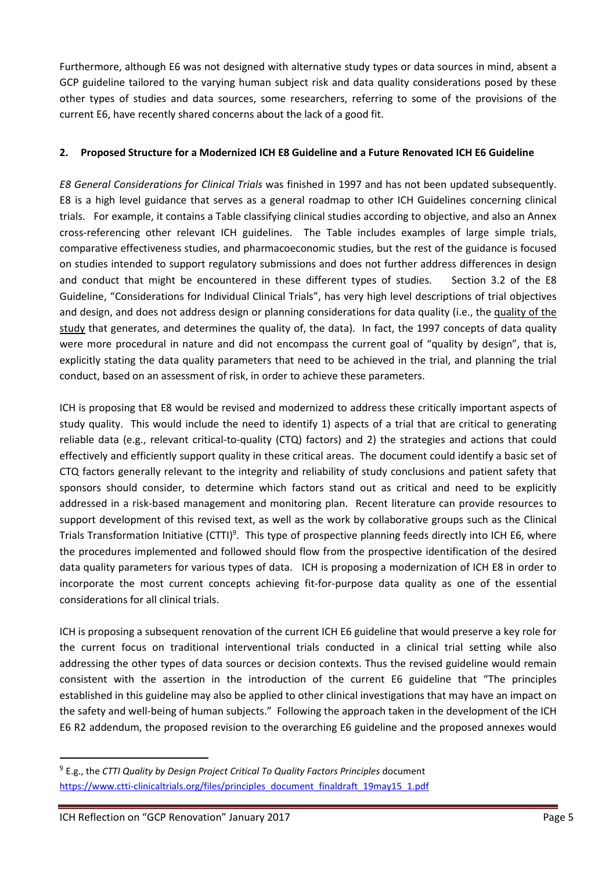Furthermore, although E6 was not designed with alternative study types or data sources in mind, absent a GCP guideline tailored to the varying human subject risk and data quality considerations posed by these other types of studies and data sources, some researchers, referring to some of the provisions of the current E6, have recently shared concerns about the lack of a good fit.

# **2. Proposed Structure for a Modernized ICH E8 Guideline and a Future Renovated ICH E6 Guideline**

*E8 General Considerations for Clinical Trials* was finished in 1997 and has not been updated subsequently. E8 is a high level guidance that serves as a general roadmap to other ICH Guidelines concerning clinical trials. For example, it contains a Table classifying clinical studies according to objective, and also an Annex cross-referencing other relevant ICH guidelines. The Table includes examples of large simple trials, comparative effectiveness studies, and pharmacoeconomic studies, but the rest of the guidance is focused on studies intended to support regulatory submissions and does not further address differences in design and conduct that might be encountered in these different types of studies. Section 3.2 of the E8 Guideline, "Considerations for Individual Clinical Trials", has very high level descriptions of trial objectives and design, and does not address design or planning considerations for data quality (i.e., the quality of the study that generates, and determines the quality of, the data). In fact, the 1997 concepts of data quality were more procedural in nature and did not encompass the current goal of "quality by design", that is, explicitly stating the data quality parameters that need to be achieved in the trial, and planning the trial conduct, based on an assessment of risk, in order to achieve these parameters.

ICH is proposing that E8 would be revised and modernized to address these critically important aspects of study quality. This would include the need to identify 1) aspects of a trial that are critical to generating reliable data (e.g., relevant critical-to-quality (CTQ) factors) and 2) the strategies and actions that could effectively and efficiently support quality in these critical areas. The document could identify a basic set of CTQ factors generally relevant to the integrity and reliability of study conclusions and patient safety that sponsors should consider, to determine which factors stand out as critical and need to be explicitly addressed in a risk-based management and monitoring plan. Recent literature can provide resources to support development of this revised text, as well as the work by collaborative groups such as the Clinical Trials Transformation Initiative (CTTI)<sup>9</sup>. This type of prospective planning feeds directly into ICH E6, where the procedures implemented and followed should flow from the prospective identification of the desired data quality parameters for various types of data. ICH is proposing a modernization of ICH E8 in order to incorporate the most current concepts achieving fit-for-purpose data quality as one of the essential considerations for all clinical trials.

ICH is proposing a subsequent renovation of the current ICH E6 guideline that would preserve a key role for the current focus on traditional interventional trials conducted in a clinical trial setting while also addressing the other types of data sources or decision contexts. Thus the revised guideline would remain consistent with the assertion in the introduction of the current E6 guideline that "The principles established in this guideline may also be applied to other clinical investigations that may have an impact on the safety and well-being of human subjects." Following the approach taken in the development of the ICH E6 R2 addendum, the proposed revision to the overarching E6 guideline and the proposed annexes would

 <sup>9</sup> E.g., the *CTTI Quality by Design Project Critical To Quality Factors Principles* document https://www.ctti-clinicaltrials.org/files/principles\_document\_finaldraft\_19may15\_1.pdf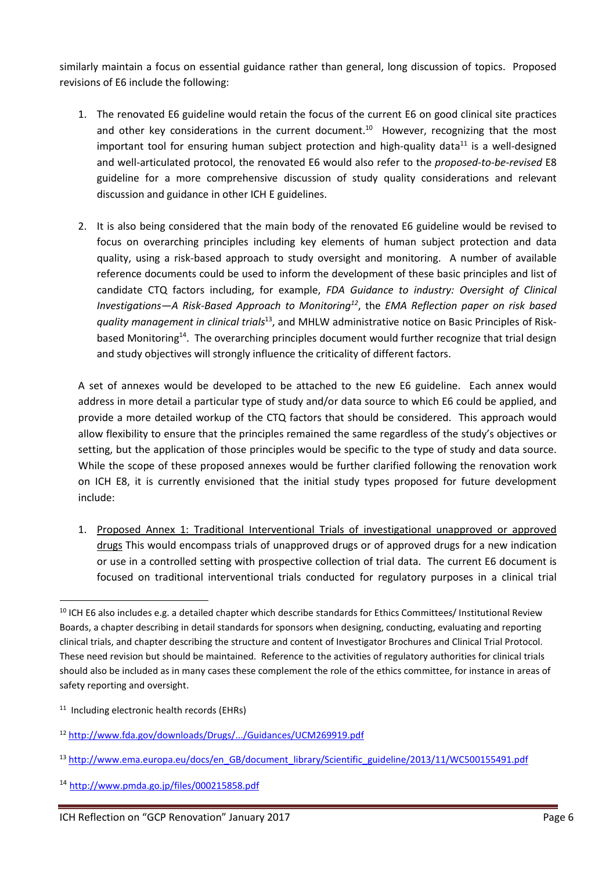similarly maintain a focus on essential guidance rather than general, long discussion of topics. Proposed revisions of E6 include the following:

- 1. The renovated E6 guideline would retain the focus of the current E6 on good clinical site practices and other key considerations in the current document.<sup>10</sup> However, recognizing that the most important tool for ensuring human subject protection and high-quality data<sup>11</sup> is a well-designed and well-articulated protocol, the renovated E6 would also refer to the *proposed-to-be-revised* E8 guideline for a more comprehensive discussion of study quality considerations and relevant discussion and guidance in other ICH E guidelines.
- 2. It is also being considered that the main body of the renovated E6 guideline would be revised to focus on overarching principles including key elements of human subject protection and data quality, using a risk-based approach to study oversight and monitoring. A number of available reference documents could be used to inform the development of these basic principles and list of candidate CTQ factors including, for example, *FDA Guidance to industry: Oversight of Clinical Investigations—A Risk-Based Approach to Monitoring12*, the *EMA Reflection paper on risk based quality management in clinical trials*13, and MHLW administrative notice on Basic Principles of Riskbased Monitoring<sup>14</sup>. The overarching principles document would further recognize that trial design and study objectives will strongly influence the criticality of different factors.

A set of annexes would be developed to be attached to the new E6 guideline. Each annex would address in more detail a particular type of study and/or data source to which E6 could be applied, and provide a more detailed workup of the CTQ factors that should be considered. This approach would allow flexibility to ensure that the principles remained the same regardless of the study's objectives or setting, but the application of those principles would be specific to the type of study and data source. While the scope of these proposed annexes would be further clarified following the renovation work on ICH E8, it is currently envisioned that the initial study types proposed for future development include:

1. Proposed Annex 1: Traditional Interventional Trials of investigational unapproved or approved drugs This would encompass trials of unapproved drugs or of approved drugs for a new indication or use in a controlled setting with prospective collection of trial data. The current E6 document is focused on traditional interventional trials conducted for regulatory purposes in a clinical trial

 $10$  ICH E6 also includes e.g. a detailed chapter which describe standards for Ethics Committees/ Institutional Review Boards, a chapter describing in detail standards for sponsors when designing, conducting, evaluating and reporting clinical trials, and chapter describing the structure and content of Investigator Brochures and Clinical Trial Protocol. These need revision but should be maintained. Reference to the activities of regulatory authorities for clinical trials should also be included as in many cases these complement the role of the ethics committee, for instance in areas of safety reporting and oversight.

<sup>&</sup>lt;sup>11</sup> Including electronic health records (EHRs)

<sup>12</sup> http://www.fda.gov/downloads/Drugs/.../Guidances/UCM269919.pdf

<sup>&</sup>lt;sup>13</sup> http://www.ema.europa.eu/docs/en\_GB/document\_library/Scientific\_guideline/2013/11/WC500155491.pdf

<sup>14</sup> http://www.pmda.go.jp/files/000215858.pdf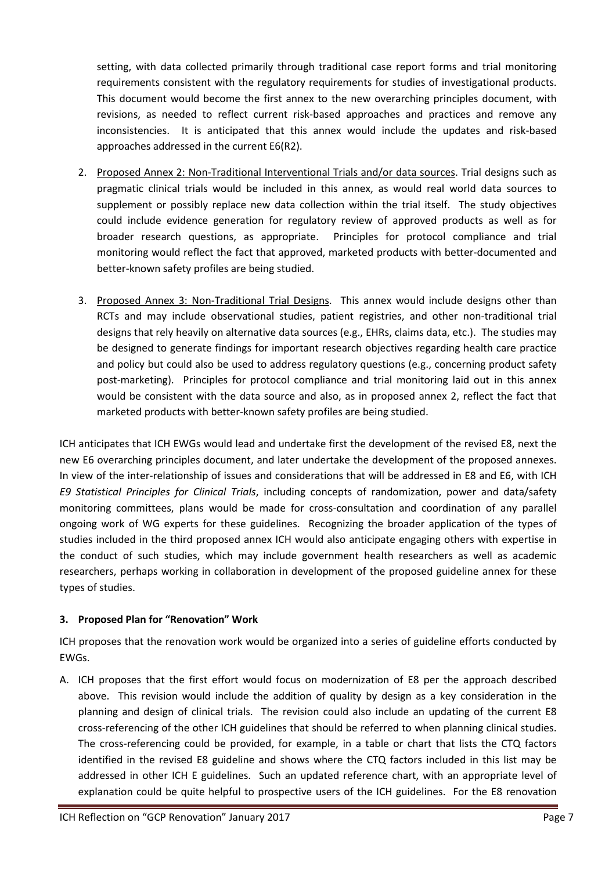setting, with data collected primarily through traditional case report forms and trial monitoring requirements consistent with the regulatory requirements for studies of investigational products. This document would become the first annex to the new overarching principles document, with revisions, as needed to reflect current risk-based approaches and practices and remove any inconsistencies. It is anticipated that this annex would include the updates and risk-based approaches addressed in the current E6(R2).

- 2. Proposed Annex 2: Non-Traditional Interventional Trials and/or data sources. Trial designs such as pragmatic clinical trials would be included in this annex, as would real world data sources to supplement or possibly replace new data collection within the trial itself. The study objectives could include evidence generation for regulatory review of approved products as well as for broader research questions, as appropriate. Principles for protocol compliance and trial monitoring would reflect the fact that approved, marketed products with better-documented and better-known safety profiles are being studied.
- 3. Proposed Annex 3: Non-Traditional Trial Designs. This annex would include designs other than RCTs and may include observational studies, patient registries, and other non-traditional trial designs that rely heavily on alternative data sources (e.g., EHRs, claims data, etc.). The studies may be designed to generate findings for important research objectives regarding health care practice and policy but could also be used to address regulatory questions (e.g., concerning product safety post-marketing). Principles for protocol compliance and trial monitoring laid out in this annex would be consistent with the data source and also, as in proposed annex 2, reflect the fact that marketed products with better-known safety profiles are being studied.

ICH anticipates that ICH EWGs would lead and undertake first the development of the revised E8, next the new E6 overarching principles document, and later undertake the development of the proposed annexes. In view of the inter-relationship of issues and considerations that will be addressed in E8 and E6, with ICH *E9 Statistical Principles for Clinical Trials*, including concepts of randomization, power and data/safety monitoring committees, plans would be made for cross-consultation and coordination of any parallel ongoing work of WG experts for these guidelines. Recognizing the broader application of the types of studies included in the third proposed annex ICH would also anticipate engaging others with expertise in the conduct of such studies, which may include government health researchers as well as academic researchers, perhaps working in collaboration in development of the proposed guideline annex for these types of studies.

# **3. Proposed Plan for "Renovation" Work**

ICH proposes that the renovation work would be organized into a series of guideline efforts conducted by EWGs.

A. ICH proposes that the first effort would focus on modernization of E8 per the approach described above. This revision would include the addition of quality by design as a key consideration in the planning and design of clinical trials. The revision could also include an updating of the current E8 cross-referencing of the other ICH guidelines that should be referred to when planning clinical studies. The cross-referencing could be provided, for example, in a table or chart that lists the CTQ factors identified in the revised E8 guideline and shows where the CTQ factors included in this list may be addressed in other ICH E guidelines. Such an updated reference chart, with an appropriate level of explanation could be quite helpful to prospective users of the ICH guidelines. For the E8 renovation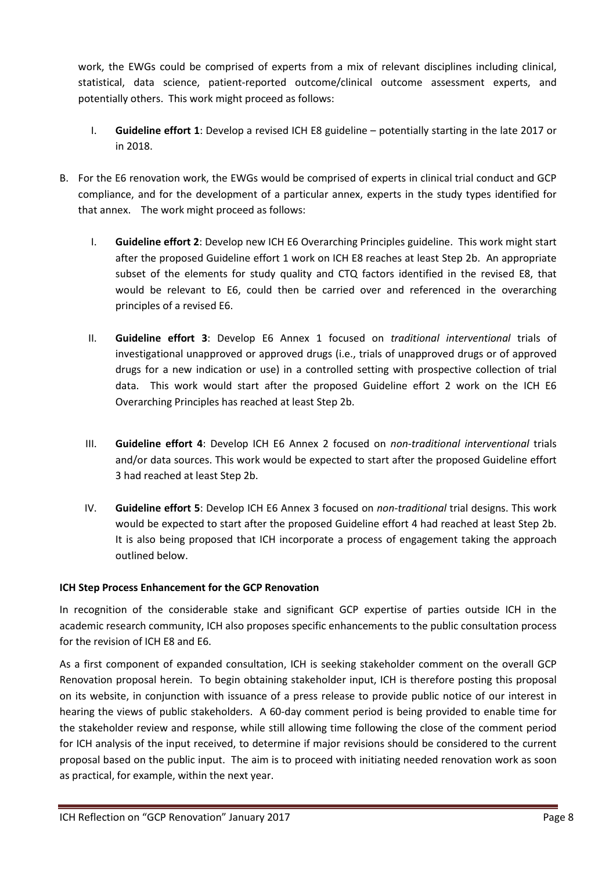work, the EWGs could be comprised of experts from a mix of relevant disciplines including clinical, statistical, data science, patient-reported outcome/clinical outcome assessment experts, and potentially others. This work might proceed as follows:

- I. **Guideline effort 1**: Develop a revised ICH E8 guideline potentially starting in the late 2017 or in 2018.
- B. For the E6 renovation work, the EWGs would be comprised of experts in clinical trial conduct and GCP compliance, and for the development of a particular annex, experts in the study types identified for that annex. The work might proceed as follows:
	- I. **Guideline effort 2**: Develop new ICH E6 Overarching Principles guideline. This work might start after the proposed Guideline effort 1 work on ICH E8 reaches at least Step 2b. An appropriate subset of the elements for study quality and CTQ factors identified in the revised E8, that would be relevant to E6, could then be carried over and referenced in the overarching principles of a revised E6.
	- II. **Guideline effort 3**: Develop E6 Annex 1 focused on *traditional interventional* trials of investigational unapproved or approved drugs (i.e., trials of unapproved drugs or of approved drugs for a new indication or use) in a controlled setting with prospective collection of trial data. This work would start after the proposed Guideline effort 2 work on the ICH E6 Overarching Principles has reached at least Step 2b.
	- III. **Guideline effort 4**: Develop ICH E6 Annex 2 focused on *non-traditional interventional* trials and/or data sources. This work would be expected to start after the proposed Guideline effort 3 had reached at least Step 2b.
	- IV. **Guideline effort 5**: Develop ICH E6 Annex 3 focused on *non-traditional* trial designs. This work would be expected to start after the proposed Guideline effort 4 had reached at least Step 2b. It is also being proposed that ICH incorporate a process of engagement taking the approach outlined below.

# **ICH Step Process Enhancement for the GCP Renovation**

In recognition of the considerable stake and significant GCP expertise of parties outside ICH in the academic research community, ICH also proposes specific enhancements to the public consultation process for the revision of ICH E8 and E6.

As a first component of expanded consultation, ICH is seeking stakeholder comment on the overall GCP Renovation proposal herein. To begin obtaining stakeholder input, ICH is therefore posting this proposal on its website, in conjunction with issuance of a press release to provide public notice of our interest in hearing the views of public stakeholders. A 60-day comment period is being provided to enable time for the stakeholder review and response, while still allowing time following the close of the comment period for ICH analysis of the input received, to determine if major revisions should be considered to the current proposal based on the public input. The aim is to proceed with initiating needed renovation work as soon as practical, for example, within the next year.